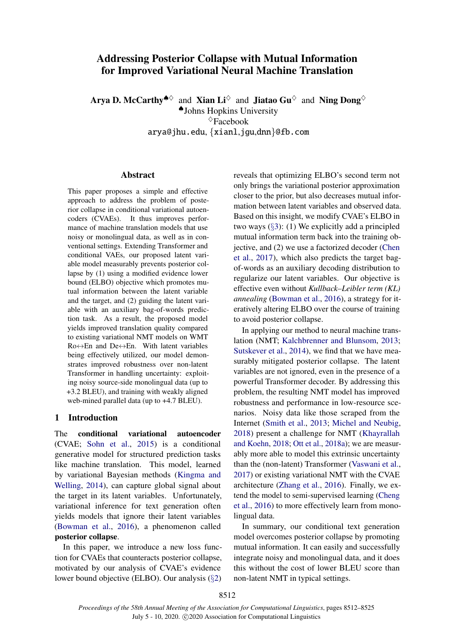# Addressing Posterior Collapse with Mutual Information for Improved Variational Neural Machine Translation

Arva D. McCarthy<sup> $\clubsuit\lozenge$ </sup> and Xian Li $\lozenge$  and Jiatao Gu $\lozenge$  and Ning Dong $\lozenge$ ♠Johns Hopkins University  $\Diamond$ Facebook arya@jhu.edu, {xianl,jgu,dnn}@fb.com

## Abstract

This paper proposes a simple and effective approach to address the problem of posterior collapse in conditional variational autoencoders (CVAEs). It thus improves performance of machine translation models that use noisy or monolingual data, as well as in conventional settings. Extending Transformer and conditional VAEs, our proposed latent variable model measurably prevents posterior collapse by (1) using a modified evidence lower bound (ELBO) objective which promotes mutual information between the latent variable and the target, and (2) guiding the latent variable with an auxiliary bag-of-words prediction task. As a result, the proposed model yields improved translation quality compared to existing variational NMT models on WMT Ro↔En and De↔En. With latent variables being effectively utilized, our model demonstrates improved robustness over non-latent Transformer in handling uncertainty: exploiting noisy source-side monolingual data (up to +3.2 BLEU), and training with weakly aligned web-mined parallel data (up to +4.7 BLEU).

## 1 Introduction

The conditional variational autoencoder (CVAE; [Sohn et al.,](#page-11-0) [2015\)](#page-11-0) is a conditional generative model for structured prediction tasks like machine translation. This model, learned by variational Bayesian methods [\(Kingma and](#page-10-0) [Welling,](#page-10-0) [2014\)](#page-10-0), can capture global signal about the target in its latent variables. Unfortunately, variational inference for text generation often yields models that ignore their latent variables [\(Bowman et al.,](#page-9-0) [2016\)](#page-9-0), a phenomenon called posterior collapse.

In this paper, we introduce a new loss function for CVAEs that counteracts posterior collapse, motivated by our analysis of CVAE's evidence lower bound objective (ELBO). Our analysis (§[2\)](#page-1-0)

reveals that optimizing ELBO's second term not only brings the variational posterior approximation closer to the prior, but also decreases mutual information between latent variables and observed data. Based on this insight, we modify CVAE's ELBO in two ways  $(\S3)$  $(\S3)$ : (1) We explicitly add a principled mutual information term back into the training objective, and (2) we use a factorized decoder [\(Chen](#page-9-1) [et al.,](#page-9-1) [2017\)](#page-9-1), which also predicts the target bagof-words as an auxiliary decoding distribution to regularize our latent variables. Our objective is effective even without *Kullback–Leibler term (KL) annealing* [\(Bowman et al.,](#page-9-0) [2016\)](#page-9-0), a strategy for iteratively altering ELBO over the course of training to avoid posterior collapse.

In applying our method to neural machine translation (NMT; [Kalchbrenner and Blunsom,](#page-9-2) [2013;](#page-9-2) [Sutskever et al.,](#page-11-1) [2014\)](#page-11-1), we find that we have measurably mitigated posterior collapse. The latent variables are not ignored, even in the presence of a powerful Transformer decoder. By addressing this problem, the resulting NMT model has improved robustness and performance in low-resource scenarios. Noisy data like those scraped from the Internet [\(Smith et al.,](#page-11-2) [2013;](#page-11-2) [Michel and Neubig,](#page-10-1) [2018\)](#page-10-1) present a challenge for NMT [\(Khayrallah](#page-9-3) [and Koehn,](#page-9-3) [2018;](#page-9-3) [Ott et al.,](#page-10-2) [2018a\)](#page-10-2); we are measurably more able to model this extrinsic uncertainty than the (non-latent) Transformer [\(Vaswani et al.,](#page-11-3) [2017\)](#page-11-3) or existing variational NMT with the CVAE architecture [\(Zhang et al.,](#page-11-4) [2016\)](#page-11-4). Finally, we extend the model to semi-supervised learning [\(Cheng](#page-9-4) [et al.,](#page-9-4) [2016\)](#page-9-4) to more effectively learn from monolingual data.

In summary, our conditional text generation model overcomes posterior collapse by promoting mutual information. It can easily and successfully integrate noisy and monolingual data, and it does this without the cost of lower BLEU score than non-latent NMT in typical settings.

8512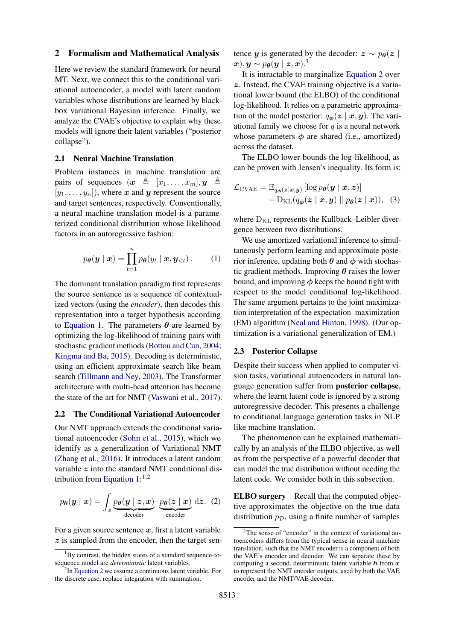#### <span id="page-1-0"></span>2 Formalism and Mathematical Analysis

Here we review the standard framework for neural MT. Next, we connect this to the conditional variational autoencoder, a model with latent random variables whose distributions are learned by blackbox variational Bayesian inference. Finally, we analyze the CVAE's objective to explain why these models will ignore their latent variables ("posterior collapse").

## 2.1 Neural Machine Translation

Problem instances in machine translation are pairs of sequences  $(x \triangleq [x_1, \ldots, x_m], y \triangleq$  $[y_1, \ldots, y_n]$ , where x and y represent the source and target sentences, respectively. Conventionally, a neural machine translation model is a parameterized conditional distribution whose likelihood factors in an autoregressive fashion:

$$
p_{\theta}(\boldsymbol{y} \mid \boldsymbol{x}) = \prod_{t=1}^{n} p_{\theta}(y_t \mid \boldsymbol{x}, \boldsymbol{y}_{< t}). \qquad (1)
$$

The dominant translation paradigm first represents the source sentence as a sequence of contextualized vectors (using the *encoder*), then decodes this representation into a target hypothesis according to [Equation 1.](#page-1-1) The parameters  $\theta$  are learned by optimizing the log-likelihood of training pairs with stochastic gradient methods [\(Bottou and Cun,](#page-9-5) [2004;](#page-9-5) [Kingma and Ba,](#page-10-3) [2015\)](#page-10-3). Decoding is deterministic, using an efficient approximate search like beam search [\(Tillmann and Ney,](#page-11-5) [2003\)](#page-11-5). The Transformer architecture with multi-head attention has become the state of the art for NMT [\(Vaswani et al.,](#page-11-3) [2017\)](#page-11-3).

#### 2.2 The Conditional Variational Autoencoder

Our NMT approach extends the conditional variational autoencoder [\(Sohn et al.,](#page-11-0) [2015\)](#page-11-0), which we identify as a generalization of Variational NMT [\(Zhang et al.,](#page-11-4) [2016\)](#page-11-4). It introduces a latent random variable  $z$  into the standard NMT conditional distribution from Equation  $1:^{1,2}$  $1:^{1,2}$  $1:^{1,2}$  $1:^{1,2}$ 

$$
p_{\theta}(\mathbf{y} \mid \mathbf{x}) = \int_{\mathbf{z}} \underbrace{p_{\theta}(\mathbf{y} \mid \mathbf{z}, \mathbf{x})}_{\text{decoder}} \cdot \underbrace{p_{\theta}(\mathbf{z} \mid \mathbf{x})}_{\text{encoder}} \, \mathrm{d}\mathbf{z}. \tag{2}
$$

For a given source sentence  $x$ , first a latent variable z is sampled from the encoder, then the target sentence y is generated by the decoder:  $z \sim p_{\theta}(z)$  $(\boldsymbol{x}), \boldsymbol{y} \sim p_{\boldsymbol{\theta}}(\boldsymbol{y} \mid \boldsymbol{z}, \boldsymbol{x}) .^3$  $(\boldsymbol{x}), \boldsymbol{y} \sim p_{\boldsymbol{\theta}}(\boldsymbol{y} \mid \boldsymbol{z}, \boldsymbol{x}) .^3$ 

It is intractable to marginalize [Equation 2](#page-1-4) over z. Instead, the CVAE training objective is a variational lower bound (the ELBO) of the conditional log-likelihood. It relies on a parametric approximation of the model posterior:  $q_{\phi}(z \mid x, y)$ . The variational family we choose for  $q$  is a neural network whose parameters  $\phi$  are shared (i.e., amortized) across the dataset.

The ELBO lower-bounds the log-likelihood, as can be proven with Jensen's inequality. Its form is:

<span id="page-1-6"></span>
$$
\mathcal{L}_{\text{CVAE}} = \mathbb{E}_{q_{\boldsymbol{\phi}}(\boldsymbol{z}|\boldsymbol{x}, \boldsymbol{y})} [\log p_{\boldsymbol{\theta}}(\boldsymbol{y} \mid \boldsymbol{x}, \boldsymbol{z})] - \mathcal{D}_{\text{KL}}(q_{\boldsymbol{\phi}}(\boldsymbol{z} \mid \boldsymbol{x}, \boldsymbol{y}) \parallel p_{\boldsymbol{\theta}}(\boldsymbol{z} \mid \boldsymbol{x}))), \quad (3)
$$

<span id="page-1-1"></span>where  $D_{KL}$  represents the Kullback–Leibler divergence between two distributions.

We use amortized variational inference to simultaneously perform learning and approximate posterior inference, updating both  $\theta$  and  $\phi$  with stochastic gradient methods. Improving  $\theta$  raises the lower bound, and improving  $\phi$  keeps the bound tight with respect to the model conditional log-likelihood. The same argument pertains to the joint maximization interpretation of the expectation–maximization (EM) algorithm [\(Neal and Hinton,](#page-10-4) [1998\)](#page-10-4). (Our optimization is a variational generalization of EM.)

## 2.3 Posterior Collapse

Despite their success when applied to computer vision tasks, variational autoencoders in natural language generation suffer from posterior collapse, where the learnt latent code is ignored by a strong autoregressive decoder. This presents a challenge to conditional language generation tasks in NLP like machine translation.

The phenomenon can be explained mathematically by an analysis of the ELBO objective, as well as from the perspective of a powerful decoder that can model the true distribution without needing the latent code. We consider both in this subsection.

<span id="page-1-4"></span>ELBO surgery Recall that the computed objective approximates the objective on the true data distribution  $p_{\mathcal{D}}$ , using a finite number of samples

<span id="page-1-2"></span> ${}^{1}$ By contrast, the hidden states of a standard sequence-tosequence model are *deterministic* latent variables.

<span id="page-1-3"></span><sup>&</sup>lt;sup>2</sup>In [Equation 2](#page-1-4) we assume a continuous latent variable. For the discrete case, replace integration with summation.

<span id="page-1-5"></span><sup>&</sup>lt;sup>3</sup>The sense of "encoder" in the context of variational autoencoders differs from the typical sense in neural machine translation, such that the NMT encoder is a component of both the VAE's encoder and decoder. We can separate these by computing a second, deterministic latent variable  $h$  from  $x$ to represent the NMT encoder outputs, used by both the VAE encoder and the NMT/VAE decoder.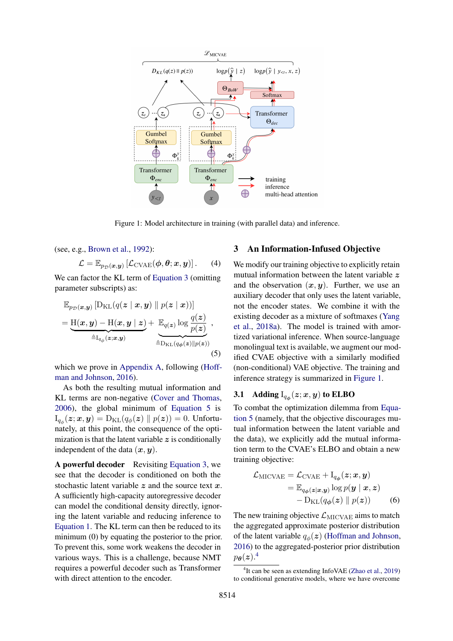<span id="page-2-2"></span>

Figure 1: Model architecture in training (with parallel data) and inference.

(see, e.g., [Brown et al.,](#page-9-6) [1992\)](#page-9-6):

$$
\mathcal{L} = \mathbb{E}_{p_{\mathcal{D}}(\boldsymbol{x}, \boldsymbol{y})} \left[ \mathcal{L}_{\text{CVAE}}(\boldsymbol{\phi}, \boldsymbol{\theta}; \boldsymbol{x}, \boldsymbol{y}) \right]. \qquad (4)
$$

We can factor the KL term of [Equation 3](#page-1-6) (omitting parameter subscripts) as:

$$
\mathbb{E}_{p_{\mathcal{D}}(\boldsymbol{x}, \boldsymbol{y})} \left[ D_{\mathrm{KL}}(q(\boldsymbol{z} \mid \boldsymbol{x}, \boldsymbol{y}) \parallel p(\boldsymbol{z} \mid \boldsymbol{x})) \right]
$$
\n
$$
= \underbrace{H(\boldsymbol{x}, \boldsymbol{y}) - H(\boldsymbol{x}, \boldsymbol{y} \mid \boldsymbol{z})}_{\triangleq I_{q_{\phi}}(\boldsymbol{z} ; \boldsymbol{x}, \boldsymbol{y})} + \underbrace{\mathbb{E}_{q(\boldsymbol{z})} \log \frac{q(\boldsymbol{z})}{p(\boldsymbol{z})}}_{\triangleq D_{\mathrm{KL}}(q_{\phi}(\boldsymbol{z}) \parallel p(\boldsymbol{z}))},
$$
\n(5)

which we prove in [Appendix A,](#page-13-0) following [\(Hoff](#page-9-7)[man and Johnson,](#page-9-7) [2016\)](#page-9-7).

As both the resulting mutual information and KL terms are non-negative [\(Cover and Thomas,](#page-9-8) [2006\)](#page-9-8), the global minimum of [Equation 5](#page-2-1) is  $\Pi_{q_\phi}(\bm{z};\bm{x},\bm{y}) = \mathrm{D}_{\mathrm{KL}}(q_\phi(\bm{z}) \parallel p(\bm{z})) = 0.$  Unfortunately, at this point, the consequence of the optimization is that the latent variable  $z$  is conditionally independent of the data  $(x, y)$ .

A powerful decoder Revisiting [Equation 3,](#page-1-6) we see that the decoder is conditioned on both the stochastic latent variable  $z$  and the source text  $x$ . A sufficiently high-capacity autoregressive decoder can model the conditional density directly, ignoring the latent variable and reducing inference to [Equation 1.](#page-1-1) The KL term can then be reduced to its minimum (0) by equating the posterior to the prior. To prevent this, some work weakens the decoder in various ways. This is a challenge, because NMT requires a powerful decoder such as Transformer with direct attention to the encoder.

## <span id="page-2-0"></span>3 An Information-Infused Objective

We modify our training objective to explicitly retain mutual information between the latent variable  $z$ and the observation  $(x, y)$ . Further, we use an auxiliary decoder that only uses the latent variable, not the encoder states. We combine it with the existing decoder as a mixture of softmaxes [\(Yang](#page-11-6) [et al.,](#page-11-6) [2018a\)](#page-11-6). The model is trained with amortized variational inference. When source-language monolingual text is available, we augment our modified CVAE objective with a similarly modified (non-conditional) VAE objective. The training and inference strategy is summarized in [Figure 1.](#page-2-2)

## <span id="page-2-1"></span>**3.1** Adding  $I_{q_{\boldsymbol{\phi}}}(\boldsymbol{z};\boldsymbol{x},\boldsymbol{y})$  to ELBO

To combat the optimization dilemma from [Equa](#page-2-1)[tion 5](#page-2-1) (namely, that the objective discourages mutual information between the latent variable and the data), we explicitly add the mutual information term to the CVAE's ELBO and obtain a new training objective:

<span id="page-2-4"></span>
$$
\mathcal{L}_{\text{MICVAE}} = \mathcal{L}_{\text{CVAE}} + I_{q_{\phi}}(z; x, y)
$$
  
= 
$$
\mathbb{E}_{q_{\phi}(z|x,y)} \log p(y | x, z)
$$
  
- 
$$
D_{\text{KL}}(q_{\phi}(z) || p(z))
$$
 (6)

The new training objective  $\mathcal{L}_{\text{MICVAE}}$  aims to match the aggregated approximate posterior distribution of the latent variable  $q_{\phi}(z)$  [\(Hoffman and Johnson,](#page-9-7) [2016\)](#page-9-7) to the aggregated-posterior prior distribution  $p_{\boldsymbol{\theta}}(\boldsymbol{z})$ .<sup>[4](#page-2-3)</sup>

<span id="page-2-3"></span><sup>4</sup> It can be seen as extending InfoVAE [\(Zhao et al.,](#page-11-7) [2019\)](#page-11-7) to conditional generative models, where we have overcome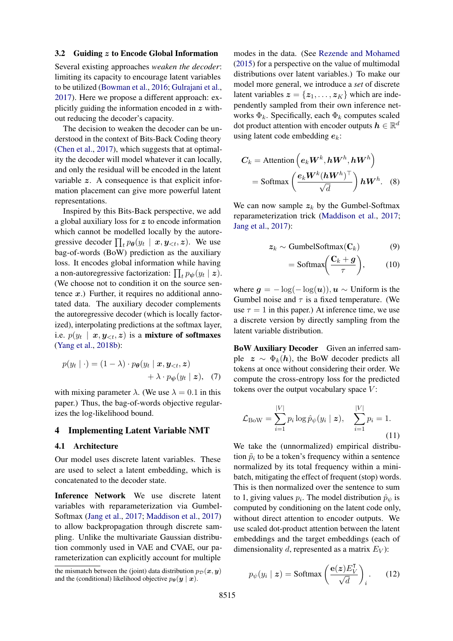### 3.2 Guiding z to Encode Global Information

Several existing approaches *weaken the decoder*: limiting its capacity to encourage latent variables to be utilized [\(Bowman et al.,](#page-9-0) [2016;](#page-9-0) [Gulrajani et al.,](#page-9-9) [2017\)](#page-9-9). Here we propose a different approach: explicitly guiding the information encoded in  $z$  without reducing the decoder's capacity.

The decision to weaken the decoder can be understood in the context of Bits-Back Coding theory [\(Chen et al.,](#page-9-1) [2017\)](#page-9-1), which suggests that at optimality the decoder will model whatever it can locally, and only the residual will be encoded in the latent variable z. A consequence is that explicit information placement can give more powerful latent representations.

Inspired by this Bits-Back perspective, we add a global auxiliary loss for z to encode information which cannot be modelled locally by the autoregressive decoder  $\prod_t p_{\theta}(y_t | x, y_{\leq t}, z)$ . We use bag-of-words (BoW) prediction as the auxiliary loss. It encodes global information while having a non-autoregressive factorization:  $\prod_t p_{\psi}(y_t | z)$ . (We choose not to condition it on the source sentence  $x$ .) Further, it requires no additional annotated data. The auxiliary decoder complements the autoregressive decoder (which is locally factorized), interpolating predictions at the softmax layer, i.e.  $p(y_t \mid \bm{x}, \bm{y}_{< t}, \bm{z})$  is a mixture of softmaxes [\(Yang et al.,](#page-11-8) [2018b\)](#page-11-8):

$$
p(y_t | \cdot) = (1 - \lambda) \cdot p_{\boldsymbol{\theta}}(y_t | \boldsymbol{x}, \boldsymbol{y}_{< t}, \boldsymbol{z}) + \lambda \cdot p_{\boldsymbol{\psi}}(y_t | \boldsymbol{z}), \quad (7)
$$

with mixing parameter  $\lambda$ . (We use  $\lambda = 0.1$  in this paper.) Thus, the bag-of-words objective regularizes the log-likelihood bound.

### 4 Implementing Latent Variable NMT

#### 4.1 Architecture

Our model uses discrete latent variables. These are used to select a latent embedding, which is concatenated to the decoder state.

Inference Network We use discrete latent variables with reparameterization via Gumbel-Softmax [\(Jang et al.,](#page-9-10) [2017;](#page-9-10) [Maddison et al.,](#page-10-5) [2017\)](#page-10-5) to allow backpropagation through discrete sampling. Unlike the multivariate Gaussian distribution commonly used in VAE and CVAE, our parameterization can explicitly account for multiple

modes in the data. (See [Rezende and Mohamed](#page-10-6) [\(2015\)](#page-10-6) for a perspective on the value of multimodal distributions over latent variables.) To make our model more general, we introduce a *set* of discrete latent variables  $z = \{z_1, \ldots, z_K\}$  which are independently sampled from their own inference networks  $\Phi_k$ . Specifically, each  $\Phi_k$  computes scaled dot product attention with encoder outputs  $h \in \mathbb{R}^d$ using latent code embedding  $e_k$ :

$$
C_k = \text{Attention}\left(e_k W^k, hW^h, hW^h\right)
$$

$$
= \text{Softmax}\left(\frac{e_k W^k (hW^h)^\top}{\sqrt{d}}\right) hW^h. \quad (8)
$$

We can now sample  $z_k$  by the Gumbel-Softmax reparameterization trick [\(Maddison et al.,](#page-10-5) [2017;](#page-10-5) [Jang et al.,](#page-9-10) [2017\)](#page-9-10):

$$
z_k \sim \text{GumbelSoftmax}(\mathbf{C}_k) \tag{9}
$$

$$
= \text{Softmax}\bigg(\frac{\mathbf{C}_k + \mathbf{g}}{\tau}\bigg),\qquad(10)
$$

where  $g = -\log(-\log(u))$ ,  $u \sim$  Uniform is the Gumbel noise and  $\tau$  is a fixed temperature. (We use  $\tau = 1$  in this paper.) At inference time, we use a discrete version by directly sampling from the latent variable distribution.

BoW Auxiliary Decoder Given an inferred sample  $z \sim \Phi_k(h)$ , the BoW decoder predicts all tokens at once without considering their order. We compute the cross-entropy loss for the predicted tokens over the output vocabulary space  $V$ :

$$
\mathcal{L}_{\text{BoW}} = \sum_{i=1}^{|V|} p_i \log \hat{p}_{\psi}(y_i \mid \mathbf{z}), \quad \sum_{i=1}^{|V|} p_i = 1.
$$
\n(11)

We take the (unnormalized) empirical distribution  $\tilde{p}_i$  to be a token's frequency within a sentence normalized by its total frequency within a minibatch, mitigating the effect of frequent (stop) words. This is then normalized over the sentence to sum to 1, giving values  $p_i$ . The model distribution  $\hat{p}_{\psi}$  is computed by conditioning on the latent code only, without direct attention to encoder outputs. We use scaled dot-product attention between the latent embeddings and the target embeddings (each of dimensionality d, represented as a matrix  $E_V$ :

<span id="page-3-0"></span>
$$
p_{\psi}(y_i \mid \mathbf{z}) = \text{Softmax}\left(\frac{\mathbf{e}(\mathbf{z})E_V^{\mathsf{T}}}{\sqrt{d}}\right)_i. \tag{12}
$$

the mismatch between the (joint) data distribution  $p_{\mathcal{D}}(x, y)$ and the (conditional) likelihood objective  $p_{\theta}(\mathbf{y} | \mathbf{x})$ .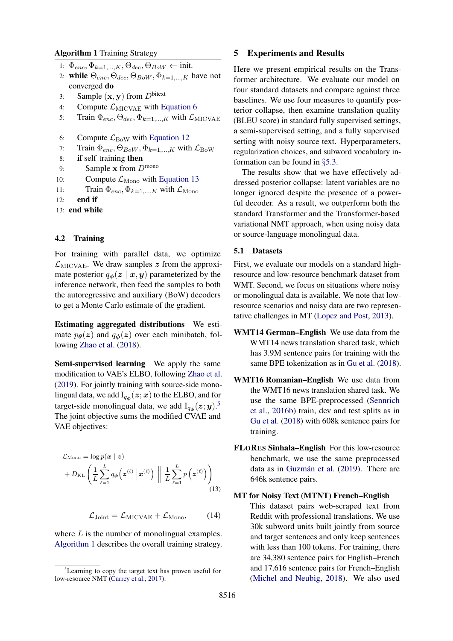## <span id="page-4-2"></span>Algorithm 1 Training Strategy

- 1:  $\Phi_{enc}, \Phi_{k=1,...,K}, \Theta_{dec}, \Theta_{BoW} \leftarrow \text{init.}$
- 2: while  $\Theta_{enc}, \Theta_{dec}, \Theta_{BoW}, \Phi_{k=1,...,K}$  have not converged do
- 3: Sample  $(\mathbf{x}, \mathbf{y})$  from  $D^{\text{bitext}}$
- 4: Compute  $\mathcal{L}_{\text{MICVAE}}$  with [Equation 6](#page-2-4)
- 5: Train  $\Phi_{enc}, \Theta_{dec}, \Phi_{k=1,...,K}$  with  $\mathcal{L}_{\text{MICVAE}}$
- 6: Compute  $\mathcal{L}_{\text{BoW}}$  with [Equation 12](#page-3-0)
- 7: Train  $\Phi_{enc}, \Theta_{BoW}, \Phi_{k=1,...,K}$  with  $\mathcal{L}_{\text{BoW}}$

```
8: if self_training then
```
- 9: Sample x from  $D^{\text{mono}}$
- 10: Compute  $\mathcal{L}_{\text{Mono}}$  with [Equation 13](#page-4-0)
- 11: Train  $\Phi_{enc}$ ,  $\Phi_{k=1,\ldots,K}$  with  $\mathcal{L}_{\text{Mono}}$
- 12: end if
- 13: end while

## 4.2 Training

For training with parallel data, we optimize  $\mathcal{L}_{\text{MICVAE}}$ . We draw samples z from the approximate posterior  $q_{\phi}(z \mid x, y)$  parameterized by the inference network, then feed the samples to both the autoregressive and auxiliary (BoW) decoders to get a Monte Carlo estimate of the gradient.

Estimating aggregated distributions We estimate  $p_{\theta}(z)$  and  $q_{\phi}(z)$  over each minibatch, following [Zhao et al.](#page-12-0) [\(2018\)](#page-12-0).

Semi-supervised learning We apply the same modification to VAE's ELBO, following [Zhao et al.](#page-11-7) [\(2019\)](#page-11-7). For jointly training with source-side monolingual data, we add  $\mathrm{I}_{q_{\bm{\phi}}}(\bm{z};\bm{x})$  to the ELBO, and for target-side monolingual data, we add  $I_{q_{\phi}}(z; y)$ .<sup>[5](#page-4-1)</sup> The joint objective sums the modified CVAE and VAE objectives:

$$
\mathcal{L}_{\text{Mono}} = \log p(\boldsymbol{x} \mid \boldsymbol{z}) \n+ D_{\text{KL}} \left( \frac{1}{L} \sum_{\ell=1}^{L} q_{\boldsymbol{\phi}} \left( \boldsymbol{z}^{(\ell)} \, \middle| \, \boldsymbol{x}^{(\ell)} \right) \, \middle| \, \left| \frac{1}{L} \sum_{\ell=1}^{L} p \left( \boldsymbol{z}^{(\ell)} \right) \right) \right)
$$
\n(13)

$$
\mathcal{L}_{\text{Joint}} = \mathcal{L}_{\text{MICVAE}} + \mathcal{L}_{\text{Mono}},\qquad(14)
$$

<span id="page-4-3"></span>where  $L$  is the number of monolingual examples. [Algorithm 1](#page-4-2) describes the overall training strategy.

## 5 Experiments and Results

Here we present empirical results on the Transformer architecture. We evaluate our model on four standard datasets and compare against three baselines. We use four measures to quantify posterior collapse, then examine translation quality (BLEU score) in standard fully supervised settings, a semi-supervised setting, and a fully supervised setting with noisy source text. Hyperparameters, regularization choices, and subword vocabulary information can be found in §[5.3.](#page-5-0)

The results show that we have effectively addressed posterior collapse: latent variables are no longer ignored despite the presence of a powerful decoder. As a result, we outperform both the standard Transformer and the Transformer-based variational NMT approach, when using noisy data or source-language monolingual data.

### 5.1 Datasets

First, we evaluate our models on a standard highresource and low-resource benchmark dataset from WMT. Second, we focus on situations where noisy or monolingual data is available. We note that lowresource scenarios and noisy data are two representative challenges in MT [\(Lopez and Post,](#page-10-7) [2013\)](#page-10-7).

- WMT14 German–English We use data from the WMT14 news translation shared task, which has 3.9M sentence pairs for training with the same BPE tokenization as in [Gu et al.](#page-9-12) [\(2018\)](#page-9-12).
- WMT16 Romanian–English We use data from the WMT16 news translation shared task. We use the same BPE-preprocessed [\(Sennrich](#page-10-8) [et al.,](#page-10-8) [2016b\)](#page-10-8) train, dev and test splits as in [Gu et al.](#page-9-12) [\(2018\)](#page-9-12) with 608k sentence pairs for training.
- FLORES Sinhala–English For this low-resource benchmark, we use the same preprocessed data as in Guzmán et al. [\(2019\)](#page-9-13). There are 646k sentence pairs.
- <span id="page-4-0"></span>MT for Noisy Text (MTNT) French–English This dataset pairs web-scraped text from Reddit with professional translations. We use 30k subword units built jointly from source and target sentences and only keep sentences with less than 100 tokens. For training, there are 34,380 sentence pairs for English–French and 17,616 sentence pairs for French–English [\(Michel and Neubig,](#page-10-1) [2018\)](#page-10-1). We also used

<span id="page-4-1"></span><sup>5</sup>Learning to copy the target text has proven useful for low-resource NMT [\(Currey et al.,](#page-9-11) [2017\)](#page-9-11).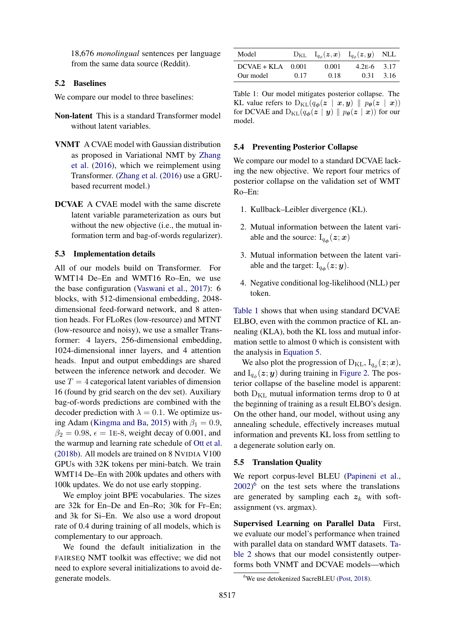18,676 *monolingual* sentences per language from the same data source (Reddit).

#### 5.2 Baselines

We compare our model to three baselines:

- Non-latent This is a standard Transformer model without latent variables.
- VNMT A CVAE model with Gaussian distribution as proposed in Variational NMT by [Zhang](#page-11-4) [et al.](#page-11-4) [\(2016\)](#page-11-4), which we reimplement using Transformer. [\(Zhang et al.](#page-11-4) [\(2016\)](#page-11-4) use a GRUbased recurrent model.)
- DCVAE A CVAE model with the same discrete latent variable parameterization as ours but without the new objective (i.e., the mutual information term and bag-of-words regularizer).

## <span id="page-5-0"></span>5.3 Implementation details

All of our models build on Transformer. For WMT14 De–En and WMT16 Ro–En, we use the base configuration [\(Vaswani et al.,](#page-11-3) [2017\)](#page-11-3): 6 blocks, with 512-dimensional embedding, 2048 dimensional feed-forward network, and 8 attention heads. For FLoRes (low-resource) and MTNT (low-resource and noisy), we use a smaller Transformer: 4 layers, 256-dimensional embedding, 1024-dimensional inner layers, and 4 attention heads. Input and output embeddings are shared between the inference network and decoder. We use  $T = 4$  categorical latent variables of dimension 16 (found by grid search on the dev set). Auxiliary bag-of-words predictions are combined with the decoder prediction with  $\lambda = 0.1$ . We optimize us-ing Adam [\(Kingma and Ba,](#page-10-3) [2015\)](#page-10-3) with  $\beta_1 = 0.9$ ,  $\beta_2 = 0.98$ ,  $\epsilon = 1$ E-8, weight decay of 0.001, and the warmup and learning rate schedule of [Ott et al.](#page-10-9) [\(2018b\)](#page-10-9). All models are trained on 8 NVIDIA V100 GPUs with 32K tokens per mini-batch. We train WMT14 De–En with 200k updates and others with 100k updates. We do not use early stopping.

We employ joint BPE vocabularies. The sizes are 32k for En–De and En–Ro; 30k for Fr–En; and 3k for Si–En. We also use a word dropout rate of 0.4 during training of all models, which is complementary to our approach.

We found the default initialization in the FAIRSEQ NMT toolkit was effective; we did not need to explore several initializations to avoid degenerate models.

<span id="page-5-1"></span>

| Model               |      | $D_{KL}$ $I_{q_\phi}(z, x)$ $I_{q_\phi}(z, y)$ NLL |               |      |
|---------------------|------|----------------------------------------------------|---------------|------|
| $DCVAE + KLA$ 0.001 |      | 0.001                                              | $4.2E-6$ 3.17 |      |
| Our model           | 0.17 | 0.18                                               | 0.31          | 3.16 |

Table 1: Our model mitigates posterior collapse. The KL value refers to  $D_{KL}(q_{\boldsymbol{\phi}}(z \mid x, y) \parallel p_{\boldsymbol{\theta}}(z \mid x))$ for DCVAE and  $D_{KL}(q_{\phi}(z \mid y) \parallel p_{\theta}(z \mid x))$  for our model.

#### 5.4 Preventing Posterior Collapse

We compare our model to a standard DCVAE lacking the new objective. We report four metrics of posterior collapse on the validation set of WMT Ro–En:

- 1. Kullback–Leibler divergence (KL).
- 2. Mutual information between the latent variable and the source:  $I_{q_{\phi}}(z; x)$
- 3. Mutual information between the latent variable and the target:  $I_{q\phi}(z; y)$ .
- 4. Negative conditional log-likelihood (NLL) per token.

[Table 1](#page-5-1) shows that when using standard DCVAE ELBO, even with the common practice of KL annealing (KLA), both the KL loss and mutual information settle to almost 0 which is consistent with the analysis in [Equation 5.](#page-2-1)

We also plot the progression of  $D_{KL}$ ,  $I_{q_\phi}(z; x)$ , and  $I_{q_{\phi}}(z; y)$  during training in [Figure 2.](#page-6-0) The posterior collapse of the baseline model is apparent: both  $D_{KL}$  mutual information terms drop to 0 at the beginning of training as a result ELBO's design. On the other hand, our model, without using any annealing schedule, effectively increases mutual information and prevents KL loss from settling to a degenerate solution early on.

#### 5.5 Translation Quality

We report corpus-level BLEU [\(Papineni et al.,](#page-10-10) [2002\)](#page-10-10) [6](#page-5-2) on the test sets where the translations are generated by sampling each  $z_k$  with softassignment (vs. argmax).

Supervised Learning on Parallel Data First, we evaluate our model's performance when trained with parallel data on standard WMT datasets. [Ta](#page-6-1)[ble 2](#page-6-1) shows that our model consistently outperforms both VNMT and DCVAE models—which

<span id="page-5-2"></span><sup>&</sup>lt;sup>6</sup>We use detokenized SacreBLEU [\(Post,](#page-10-11) [2018\)](#page-10-11).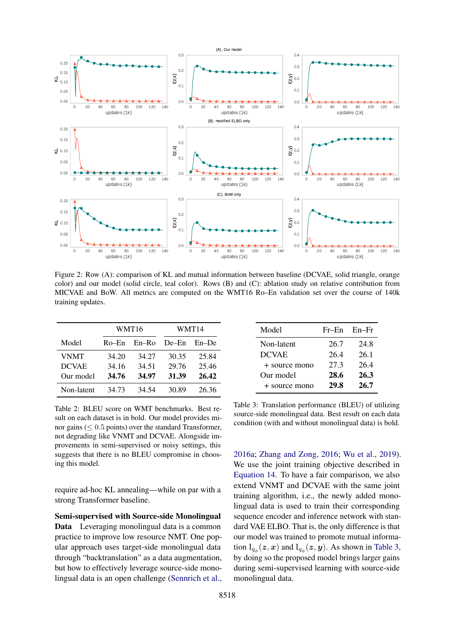<span id="page-6-0"></span>

Figure 2: Row (A): comparison of KL and mutual information between baseline (DCVAE, solid triangle, orange color) and our model (solid circle, teal color). Rows (B) and (C): ablation study on relative contribution from MICVAE and BoW. All metrics are computed on the WMT16 Ro–En validation set over the course of 140k training updates.

<span id="page-6-1"></span>

|              | WMT16 |       | WMT14   |         |
|--------------|-------|-------|---------|---------|
| Model        | Ro–En | En-Ro | $De-En$ | $En-De$ |
| VNMT         | 34.20 | 34.27 | 30.35   | 25.84   |
| <b>DCVAE</b> | 34.16 | 34.51 | 29.76   | 25.46   |
| Our model    | 34.76 | 34.97 | 31.39   | 26.42   |
| Non-latent   | 34.73 | 34.54 | 30.89   | 26.36   |

Table 2: BLEU score on WMT benchmarks. Best result on each dataset is in bold. Our model provides minor gains ( $\leq 0.5$  points) over the standard Transformer, not degrading like VNMT and DCVAE. Alongside improvements in semi-supervised or noisy settings, this suggests that there is no BLEU compromise in choosing this model.

require ad-hoc KL annealing—while on par with a strong Transformer baseline.

Semi-supervised with Source-side Monolingual Data Leveraging monolingual data is a common practice to improve low resource NMT. One popular approach uses target-side monolingual data through "backtranslation" as a data augmentation, but how to effectively leverage source-side monolingual data is an open challenge [\(Sennrich et al.,](#page-10-12)

<span id="page-6-2"></span>

| Model         | $Fr$ –En | En–Fr |  |
|---------------|----------|-------|--|
| Non-latent    | 26.7     | 24.8  |  |
| <b>DCVAE</b>  | 26.4     | 26.1  |  |
| + source mono | 27.3     | 26.4  |  |
| Our model     | 28.6     | 26.3  |  |
| + source mono | 29.8     | 26.7  |  |

Table 3: Translation performance (BLEU) of utilizing source-side monolingual data. Best result on each data condition (with and without monolingual data) is bold.

[2016a;](#page-10-12) [Zhang and Zong,](#page-11-9) [2016;](#page-11-9) [Wu et al.,](#page-11-10) [2019\)](#page-11-10). We use the joint training objective described in [Equation 14.](#page-4-3) To have a fair comparison, we also extend VNMT and DCVAE with the same joint training algorithm, i.e., the newly added monolingual data is used to train their corresponding sequence encoder and inference network with standard VAE ELBO. That is, the only difference is that our model was trained to promote mutual information  $I_{q_{\phi}}(z, x)$  and  $I_{q_{\phi}}(z, y)$ . As shown in [Table 3,](#page-6-2) by doing so the proposed model brings larger gains during semi-supervised learning with source-side monolingual data.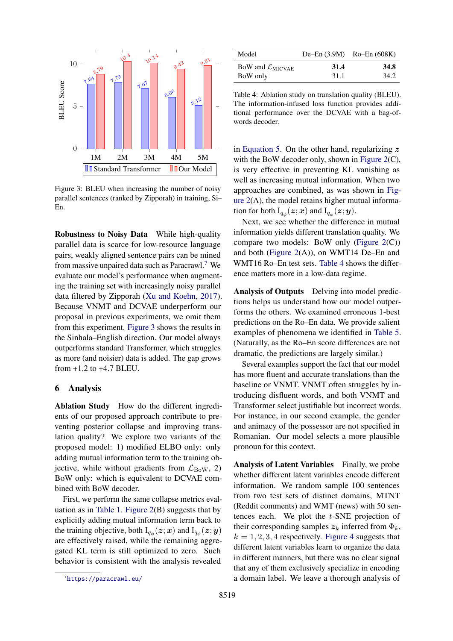<span id="page-7-1"></span>

Figure 3: BLEU when increasing the number of noisy parallel sentences (ranked by Zipporah) in training, Si– En.

Robustness to Noisy Data While high-quality parallel data is scarce for low-resource language pairs, weakly aligned sentence pairs can be mined from massive unpaired data such as Paracrawl.<sup>[7](#page-7-0)</sup> We evaluate our model's performance when augmenting the training set with increasingly noisy parallel data filtered by Zipporah [\(Xu and Koehn,](#page-11-11) [2017\)](#page-11-11). Because VNMT and DCVAE underperform our proposal in previous experiments, we omit them from this experiment. [Figure 3](#page-7-1) shows the results in the Sinhala–English direction. Our model always outperforms standard Transformer, which struggles as more (and noisier) data is added. The gap grows from +1.2 to +4.7 BLEU.

### 6 Analysis

Ablation Study How do the different ingredients of our proposed approach contribute to preventing posterior collapse and improving translation quality? We explore two variants of the proposed model: 1) modified ELBO only: only adding mutual information term to the training objective, while without gradients from  $\mathcal{L}_{\text{BoW}}$ , 2) BoW only: which is equivalent to DCVAE combined with BoW decoder.

First, we perform the same collapse metrics eval-uation as in [Table 1.](#page-5-1) Figure  $2(B)$  suggests that by explicitly adding mutual information term back to the training objective, both  $I_{q_{\phi}}(z; x)$  and  $I_{q_{\phi}}(z; y)$ are effectively raised, while the remaining aggregated KL term is still optimized to zero. Such behavior is consistent with the analysis revealed

<span id="page-7-2"></span>

| Model                                 |      | De-En $(3.9M)$ Ro-En $(608K)$ |
|---------------------------------------|------|-------------------------------|
| BoW and $\mathcal{L}_{\text{MICVAE}}$ | 31.4 | 34.8                          |
| BoW only                              | 31.1 | 34.2                          |

Table 4: Ablation study on translation quality (BLEU). The information-infused loss function provides additional performance over the DCVAE with a bag-ofwords decoder.

in [Equation 5.](#page-2-1) On the other hand, regularizing  $z$ with the BoW decoder only, shown in [Figure 2\(](#page-6-0)C), is very effective in preventing KL vanishing as well as increasing mutual information. When two approaches are combined, as was shown in [Fig](#page-6-0)ure  $2(A)$ , the model retains higher mutual information for both  $\mathrm{I}_{q_\phi}(\boldsymbol{z};\boldsymbol{x})$  and  $\mathrm{I}_{q_\phi}(\boldsymbol{z};\boldsymbol{y})$ .

Next, we see whether the difference in mutual information yields different translation quality. We compare two models: BoW only [\(Figure 2\(](#page-6-0)C)) and both (Figure  $2(A)$ ), on WMT14 De–En and WMT16 Ro–En test sets. [Table 4](#page-7-2) shows the difference matters more in a low-data regime.

Analysis of Outputs Delving into model predictions helps us understand how our model outperforms the others. We examined erroneous 1-best predictions on the Ro–En data. We provide salient examples of phenomena we identified in [Table 5.](#page-8-0) (Naturally, as the Ro–En score differences are not dramatic, the predictions are largely similar.)

Several examples support the fact that our model has more fluent and accurate translations than the baseline or VNMT. VNMT often struggles by introducing disfluent words, and both VNMT and Transformer select justifiable but incorrect words. For instance, in our second example, the gender and animacy of the possessor are not specified in Romanian. Our model selects a more plausible pronoun for this context.

Analysis of Latent Variables Finally, we probe whether different latent variables encode different information. We random sample 100 sentences from two test sets of distinct domains, MTNT (Reddit comments) and WMT (news) with 50 sentences each. We plot the t-SNE projection of their corresponding samples  $z_k$  inferred from  $\Phi_k$ ,  $k = 1, 2, 3, 4$  respectively. [Figure 4](#page-8-1) suggests that different latent variables learn to organize the data in different manners, but there was no clear signal that any of them exclusively specialize in encoding a domain label. We leave a thorough analysis of

<span id="page-7-0"></span><sup>7</sup> <https://paracrawl.eu/>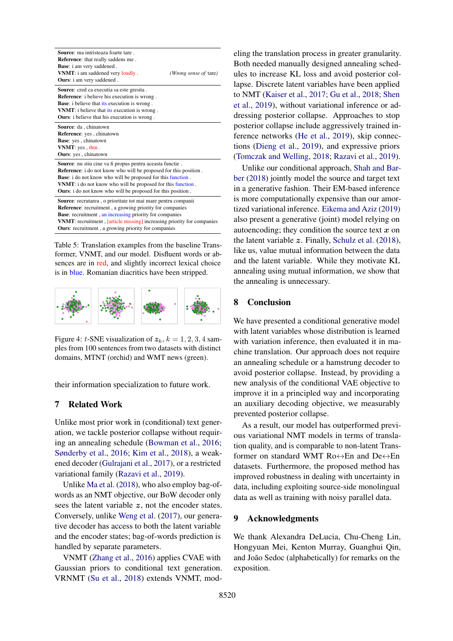<span id="page-8-0"></span>

| Source: ma intristeaza foarte tare.<br>Reference: that really saddens me.<br><b>Base:</b> i am very saddened.<br>VNMT: i am saddened very loudly.<br>(Wrong sense of tare)<br><b>Ours:</b> i am very saddened.                                                                                                                                                 |  |  |
|----------------------------------------------------------------------------------------------------------------------------------------------------------------------------------------------------------------------------------------------------------------------------------------------------------------------------------------------------------------|--|--|
| <b>Source:</b> cred ca executia sa este gresita.<br><b>Reference:</b> i believe his execution is wrong.<br><b>Base:</b> i believe that its execution is wrong.<br><b>VNMT</b> : i believe that its execution is wrong.<br><b>Ours:</b> i believe that his execution is wrong.                                                                                  |  |  |
| Source: da, chinatown<br>Reference: yes, chinatown<br>Base: yes, chinatown<br>VNMT: yes, thin.<br><b>Ours:</b> yes, chinatown                                                                                                                                                                                                                                  |  |  |
| <b>Source:</b> nu stiu cine va fi propus pentru aceasta functie.<br><b>Reference:</b> i do not know who will be proposed for this position.<br><b>Base:</b> i do not know who will be proposed for this function.<br><b>VNMT</b> : i do not know who will be proposed for this function.<br><b>Ours:</b> i do not know who will be proposed for this position. |  |  |
| Source: recrutarea, o prioritate tot mai mare pentru companii<br><b>Reference:</b> recruitment, a growing priority for companies<br><b>Base:</b> recruitment, an increasing priority for companies<br>VNMT: recruitment, [article missing] increasing priority for companies<br>Ours: recruitment, a growing priority for companies                            |  |  |

Table 5: Translation examples from the baseline Transformer, VNMT, and our model. Disfluent words or absences are in red, and slightly incorrect lexical choice is in blue. Romanian diacritics have been stripped.

<span id="page-8-1"></span>

Figure 4: t-SNE visualization of  $z_k$ ,  $k = 1, 2, 3, 4$  samples from 100 sentences from two datasets with distinct domains, MTNT (orchid) and WMT news (green).

their information specialization to future work.

## 7 Related Work

Unlike most prior work in (conditional) text generation, we tackle posterior collapse without requiring an annealing schedule [\(Bowman et al.,](#page-9-0) [2016;](#page-9-0) [Sønderby et al.,](#page-11-12) [2016;](#page-11-12) [Kim et al.,](#page-9-14) [2018\)](#page-9-14), a weakened decoder [\(Gulrajani et al.,](#page-9-9) [2017\)](#page-9-9), or a restricted variational family [\(Razavi et al.,](#page-10-13) [2019\)](#page-10-13).

Unlike [Ma et al.](#page-10-14) [\(2018\)](#page-10-14), who also employ bag-ofwords as an NMT objective, our BoW decoder only sees the latent variable z, not the encoder states. Conversely, unlike [Weng et al.](#page-11-13) [\(2017\)](#page-11-13), our generative decoder has access to both the latent variable and the encoder states; bag-of-words prediction is handled by separate parameters.

VNMT [\(Zhang et al.,](#page-11-4) [2016\)](#page-11-4) applies CVAE with Gaussian priors to conditional text generation. VRNMT [\(Su et al.,](#page-11-14) [2018\)](#page-11-14) extends VNMT, modeling the translation process in greater granularity. Both needed manually designed annealing schedules to increase KL loss and avoid posterior collapse. Discrete latent variables have been applied to NMT [\(Kaiser et al.,](#page-9-15) [2017;](#page-9-15) [Gu et al.,](#page-9-12) [2018;](#page-9-12) [Shen](#page-10-15) [et al.,](#page-10-15) [2019\)](#page-10-15), without variational inference or addressing posterior collapse. Approaches to stop posterior collapse include aggressively trained inference networks [\(He et al.,](#page-9-16) [2019\)](#page-9-16), skip connections [\(Dieng et al.,](#page-9-17) [2019\)](#page-9-17), and expressive priors [\(Tomczak and Welling,](#page-11-15) [2018;](#page-11-15) [Razavi et al.,](#page-10-13) [2019\)](#page-10-13).

Unlike our conditional approach, [Shah and Bar](#page-10-16)[ber](#page-10-16) [\(2018\)](#page-10-16) jointly model the source and target text in a generative fashion. Their EM-based inference is more computationally expensive than our amortized variational inference. [Eikema and Aziz](#page-9-18) [\(2019\)](#page-9-18) also present a generative (joint) model relying on autoencoding; they condition the source text  $x$  on the latent variable  $z$ . Finally, [Schulz et al.](#page-10-17) [\(2018\)](#page-10-17), like us, value mutual information between the data and the latent variable. While they motivate KL annealing using mutual information, we show that the annealing is unnecessary.

## 8 Conclusion

We have presented a conditional generative model with latent variables whose distribution is learned with variation inference, then evaluated it in machine translation. Our approach does not require an annealing schedule or a hamstrung decoder to avoid posterior collapse. Instead, by providing a new analysis of the conditional VAE objective to improve it in a principled way and incorporating an auxiliary decoding objective, we measurably prevented posterior collapse.

As a result, our model has outperformed previous variational NMT models in terms of translation quality, and is comparable to non-latent Transformer on standard WMT Ro↔En and De↔En datasets. Furthermore, the proposed method has improved robustness in dealing with uncertainty in data, including exploiting source-side monolingual data as well as training with noisy parallel data.

## 9 Acknowledgments

We thank Alexandra DeLucia, Chu-Cheng Lin, Hongyuan Mei, Kenton Murray, Guanghui Qin, and João Sedoc (alphabetically) for remarks on the exposition.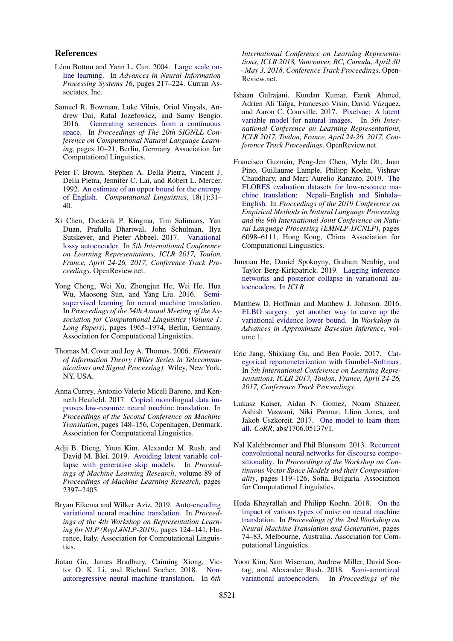## References

- <span id="page-9-5"></span>Léon Bottou and Yann L. Cun. 2004. [Large scale on](http://papers.nips.cc/paper/2365-large-scale-online-learning.pdf)[line learning.](http://papers.nips.cc/paper/2365-large-scale-online-learning.pdf) In *Advances in Neural Information Processing Systems 16*, pages 217–224. Curran Associates, Inc.
- <span id="page-9-0"></span>Samuel R. Bowman, Luke Vilnis, Oriol Vinyals, Andrew Dai, Rafal Jozefowicz, and Samy Bengio. 2016. [Generating sentences from a continuous](https://doi.org/10.18653/v1/K16-1002) [space.](https://doi.org/10.18653/v1/K16-1002) In *Proceedings of The 20th SIGNLL Conference on Computational Natural Language Learning*, pages 10–21, Berlin, Germany. Association for Computational Linguistics.
- <span id="page-9-6"></span>Peter F. Brown, Stephen A. Della Pietra, Vincent J. Della Pietra, Jennifer C. Lai, and Robert L. Mercer. 1992. [An estimate of an upper bound for the entropy](https://www.aclweb.org/anthology/J92-1002) [of English.](https://www.aclweb.org/anthology/J92-1002) *Computational Linguistics*, 18(1):31– 40.
- <span id="page-9-1"></span>Xi Chen, Diederik P. Kingma, Tim Salimans, Yan Duan, Prafulla Dhariwal, John Schulman, Ilya Sutskever, and Pieter Abbeel. 2017. [Variational](https://openreview.net/forum?id=BysvGP5ee) [lossy autoencoder.](https://openreview.net/forum?id=BysvGP5ee) In *5th International Conference on Learning Representations, ICLR 2017, Toulon, France, April 24-26, 2017, Conference Track Proceedings*. OpenReview.net.
- <span id="page-9-4"></span>Yong Cheng, Wei Xu, Zhongjun He, Wei He, Hua Wu, Maosong Sun, and Yang Liu. 2016. [Semi](https://doi.org/10.18653/v1/P16-1185)[supervised learning for neural machine translation.](https://doi.org/10.18653/v1/P16-1185) In *Proceedings of the 54th Annual Meeting of the Association for Computational Linguistics (Volume 1: Long Papers)*, pages 1965–1974, Berlin, Germany. Association for Computational Linguistics.
- <span id="page-9-8"></span>Thomas M. Cover and Joy A. Thomas. 2006. *Elements of Information Theory (Wiley Series in Telecommunications and Signal Processing)*. Wiley, New York, NY, USA.
- <span id="page-9-11"></span>Anna Currey, Antonio Valerio Miceli Barone, and Kenneth Heafield. 2017. [Copied monolingual data im](https://doi.org/10.18653/v1/W17-4715)[proves low-resource neural machine translation.](https://doi.org/10.18653/v1/W17-4715) In *Proceedings of the Second Conference on Machine Translation*, pages 148–156, Copenhagen, Denmark. Association for Computational Linguistics.
- <span id="page-9-17"></span>Adji B. Dieng, Yoon Kim, Alexander M. Rush, and David M. Blei. 2019. [Avoiding latent variable col](http://proceedings.mlr.press/v89/dieng19a.html)[lapse with generative skip models.](http://proceedings.mlr.press/v89/dieng19a.html) In *Proceedings of Machine Learning Research*, volume 89 of *Proceedings of Machine Learning Research*, pages 2397–2405.
- <span id="page-9-18"></span>Bryan Eikema and Wilker Aziz. 2019. [Auto-encoding](https://doi.org/10.18653/v1/W19-4315) [variational neural machine translation.](https://doi.org/10.18653/v1/W19-4315) In *Proceedings of the 4th Workshop on Representation Learning for NLP (RepL4NLP-2019)*, pages 124–141, Florence, Italy. Association for Computational Linguistics.
- <span id="page-9-12"></span>Jiatao Gu, James Bradbury, Caiming Xiong, Victor O. K. Li, and Richard Socher. 2018. [Non](https://openreview.net/forum?id=B1l8BtlCb)[autoregressive neural machine translation.](https://openreview.net/forum?id=B1l8BtlCb) In *6th*

*International Conference on Learning Representations, ICLR 2018, Vancouver, BC, Canada, April 30 - May 3, 2018, Conference Track Proceedings*. Open-Review.net.

- <span id="page-9-9"></span>Ishaan Gulrajani, Kundan Kumar, Faruk Ahmed, Adrien Ali Taïga, Francesco Visin, David Vázquez, and Aaron C. Courville. 2017. [Pixelvae: A latent](https://openreview.net/forum?id=BJKYvt5lg) [variable model for natural images.](https://openreview.net/forum?id=BJKYvt5lg) In *5th International Conference on Learning Representations, ICLR 2017, Toulon, France, April 24-26, 2017, Conference Track Proceedings*. OpenReview.net.
- <span id="page-9-13"></span>Francisco Guzman, Peng-Jen Chen, Myle Ott, Juan ´ Pino, Guillaume Lample, Philipp Koehn, Vishrav Chaudhary, and Marc'Aurelio Ranzato. 2019. [The](https://doi.org/10.18653/v1/D19-1632) [FLORES evaluation datasets for low-resource ma](https://doi.org/10.18653/v1/D19-1632)[chine translation: Nepali–English and Sinhala–](https://doi.org/10.18653/v1/D19-1632) [English.](https://doi.org/10.18653/v1/D19-1632) In *Proceedings of the 2019 Conference on Empirical Methods in Natural Language Processing and the 9th International Joint Conference on Natural Language Processing (EMNLP-IJCNLP)*, pages 6098–6111, Hong Kong, China. Association for Computational Linguistics.
- <span id="page-9-16"></span>Junxian He, Daniel Spokoyny, Graham Neubig, and Taylor Berg-Kirkpatrick. 2019. [Lagging inference](https://openreview.net/forum?id=rylDfnCqF7) [networks and posterior collapse in variational au](https://openreview.net/forum?id=rylDfnCqF7)[toencoders.](https://openreview.net/forum?id=rylDfnCqF7) In *ICLR*.
- <span id="page-9-7"></span>Matthew D. Hoffman and Matthew J. Johnson. 2016. [ELBO surgery: yet another way to carve up the](http://approximateinference.org/2016/accepted/HoffmanJohnson2016.pdf) [variational evidence lower bound.](http://approximateinference.org/2016/accepted/HoffmanJohnson2016.pdf) In *Workshop in Advances in Approximate Bayesian Inference*, volume 1.
- <span id="page-9-10"></span>Eric Jang, Shixiang Gu, and Ben Poole. 2017. [Cat](https://openreview.net/forum?id=rkE3y85ee)[egorical reparameterization with Gumbel–Softmax.](https://openreview.net/forum?id=rkE3y85ee) In *5th International Conference on Learning Representations, ICLR 2017, Toulon, France, April 24-26, 2017, Conference Track Proceedings*.
- <span id="page-9-15"></span>Lukasz Kaiser, Aidan N. Gomez, Noam Shazeer, Ashish Vaswani, Niki Parmar, Llion Jones, and Jakob Uszkoreit. 2017. [One model to learn them](http://arxiv.org/abs/1706.05137v1) [all.](http://arxiv.org/abs/1706.05137v1) *CoRR*, abs/1706.05137v1.
- <span id="page-9-2"></span>Nal Kalchbrenner and Phil Blunsom. 2013. [Recurrent](https://www.aclweb.org/anthology/W13-3214) [convolutional neural networks for discourse compo](https://www.aclweb.org/anthology/W13-3214)[sitionality.](https://www.aclweb.org/anthology/W13-3214) In *Proceedings of the Workshop on Continuous Vector Space Models and their Compositionality*, pages 119–126, Sofia, Bulgaria. Association for Computational Linguistics.
- <span id="page-9-3"></span>Huda Khayrallah and Philipp Koehn. 2018. [On the](https://doi.org/10.18653/v1/W18-2709) [impact of various types of noise on neural machine](https://doi.org/10.18653/v1/W18-2709) [translation.](https://doi.org/10.18653/v1/W18-2709) In *Proceedings of the 2nd Workshop on Neural Machine Translation and Generation*, pages 74–83, Melbourne, Australia. Association for Computational Linguistics.
- <span id="page-9-14"></span>Yoon Kim, Sam Wiseman, Andrew Miller, David Sontag, and Alexander Rush. 2018. [Semi-amortized](http://proceedings.mlr.press/v80/kim18e.html) [variational autoencoders.](http://proceedings.mlr.press/v80/kim18e.html) In *Proceedings of the*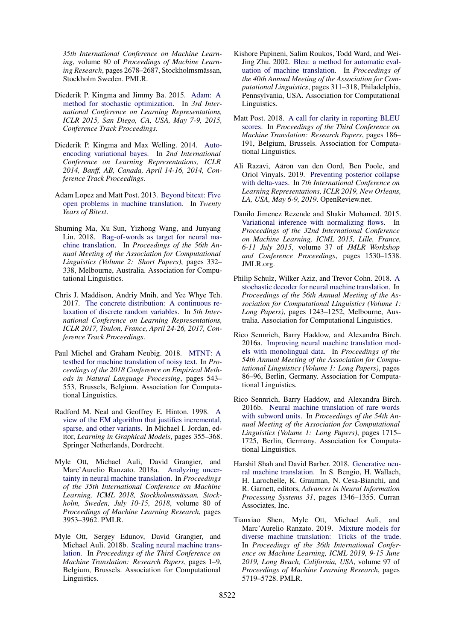*35th International Conference on Machine Learning*, volume 80 of *Proceedings of Machine Learn*ing Research, pages 2678–2687, Stockholmsmässan, Stockholm Sweden. PMLR.

- <span id="page-10-3"></span>Diederik P. Kingma and Jimmy Ba. 2015. [Adam: A](http://arxiv.org/abs/1412.6980) [method for stochastic optimization.](http://arxiv.org/abs/1412.6980) In *3rd International Conference on Learning Representations, ICLR 2015, San Diego, CA, USA, May 7-9, 2015, Conference Track Proceedings*.
- <span id="page-10-0"></span>Diederik P. Kingma and Max Welling. 2014. [Auto](http://arxiv.org/abs/1312.6114)[encoding variational bayes.](http://arxiv.org/abs/1312.6114) In *2nd International Conference on Learning Representations, ICLR 2014, Banff, AB, Canada, April 14-16, 2014, Conference Track Proceedings*.
- <span id="page-10-7"></span>Adam Lopez and Matt Post. 2013. [Beyond bitext: Five](https://www.research.ed.ac.uk/portal/en/publications/beyond-bitext-five-open-problems-in-machine-translation(e7546ad3-48ef-45ee-8a26-c8b32e4af9d7).html) [open problems in machine translation.](https://www.research.ed.ac.uk/portal/en/publications/beyond-bitext-five-open-problems-in-machine-translation(e7546ad3-48ef-45ee-8a26-c8b32e4af9d7).html) In *Twenty Years of Bitext*.
- <span id="page-10-14"></span>Shuming Ma, Xu Sun, Yizhong Wang, and Junyang Lin. 2018. [Bag-of-words as target for neural ma](https://doi.org/10.18653/v1/P18-2053)[chine translation.](https://doi.org/10.18653/v1/P18-2053) In *Proceedings of the 56th Annual Meeting of the Association for Computational Linguistics (Volume 2: Short Papers)*, pages 332– 338, Melbourne, Australia. Association for Computational Linguistics.
- <span id="page-10-5"></span>Chris J. Maddison, Andriy Mnih, and Yee Whye Teh. 2017. [The concrete distribution: A continuous re](https://openreview.net/forum?id=S1jE5L5gl)[laxation of discrete random variables.](https://openreview.net/forum?id=S1jE5L5gl) In *5th International Conference on Learning Representations, ICLR 2017, Toulon, France, April 24-26, 2017, Conference Track Proceedings*.
- <span id="page-10-1"></span>Paul Michel and Graham Neubig. 2018. [MTNT: A](https://doi.org/10.18653/v1/D18-1050) [testbed for machine translation of noisy text.](https://doi.org/10.18653/v1/D18-1050) In *Proceedings of the 2018 Conference on Empirical Methods in Natural Language Processing*, pages 543– 553, Brussels, Belgium. Association for Computational Linguistics.
- <span id="page-10-4"></span>Radford M. Neal and Geoffrey E. Hinton. 1998. [A](https://doi.org/10.1007/978-94-011-5014-9_12) [view of the EM algorithm that justifies incremental,](https://doi.org/10.1007/978-94-011-5014-9_12) [sparse, and other variants.](https://doi.org/10.1007/978-94-011-5014-9_12) In Michael I. Jordan, editor, *Learning in Graphical Models*, pages 355–368. Springer Netherlands, Dordrecht.
- <span id="page-10-2"></span>Myle Ott, Michael Auli, David Grangier, and Marc'Aurelio Ranzato. 2018a. [Analyzing uncer](http://proceedings.mlr.press/v80/ott18a.html)[tainty in neural machine translation.](http://proceedings.mlr.press/v80/ott18a.html) In *Proceedings of the 35th International Conference on Machine Learning, ICML 2018, Stockholmsmassan, Stock- ¨ holm, Sweden, July 10-15, 2018*, volume 80 of *Proceedings of Machine Learning Research*, pages 3953–3962. PMLR.
- <span id="page-10-9"></span>Myle Ott, Sergey Edunov, David Grangier, and Michael Auli. 2018b. [Scaling neural machine trans](https://doi.org/10.18653/v1/W18-6301)[lation.](https://doi.org/10.18653/v1/W18-6301) In *Proceedings of the Third Conference on Machine Translation: Research Papers*, pages 1–9, Belgium, Brussels. Association for Computational Linguistics.
- <span id="page-10-10"></span>Kishore Papineni, Salim Roukos, Todd Ward, and Wei-Jing Zhu. 2002. [Bleu: a method for automatic eval](https://doi.org/10.3115/1073083.1073135)[uation of machine translation.](https://doi.org/10.3115/1073083.1073135) In *Proceedings of the 40th Annual Meeting of the Association for Computational Linguistics*, pages 311–318, Philadelphia, Pennsylvania, USA. Association for Computational Linguistics.
- <span id="page-10-11"></span>Matt Post. 2018. [A call for clarity in reporting BLEU](https://doi.org/10.18653/v1/W18-6319) [scores.](https://doi.org/10.18653/v1/W18-6319) In *Proceedings of the Third Conference on Machine Translation: Research Papers*, pages 186– 191, Belgium, Brussels. Association for Computational Linguistics.
- <span id="page-10-13"></span>Ali Razavi, Aäron van den Oord, Ben Poole, and Oriol Vinyals. 2019. [Preventing posterior collapse](https://openreview.net/forum?id=BJe0Gn0cY7) [with delta-vaes.](https://openreview.net/forum?id=BJe0Gn0cY7) In *7th International Conference on Learning Representations, ICLR 2019, New Orleans, LA, USA, May 6-9, 2019*. OpenReview.net.
- <span id="page-10-6"></span>Danilo Jimenez Rezende and Shakir Mohamed. 2015. [Variational inference with normalizing flows.](http://proceedings.mlr.press/v37/rezende15.html) In *Proceedings of the 32nd International Conference on Machine Learning, ICML 2015, Lille, France, 6-11 July 2015*, volume 37 of *JMLR Workshop and Conference Proceedings*, pages 1530–1538. JMLR.org.
- <span id="page-10-17"></span>Philip Schulz, Wilker Aziz, and Trevor Cohn. 2018. [A](https://doi.org/10.18653/v1/P18-1115) [stochastic decoder for neural machine translation.](https://doi.org/10.18653/v1/P18-1115) In *Proceedings of the 56th Annual Meeting of the Association for Computational Linguistics (Volume 1: Long Papers)*, pages 1243–1252, Melbourne, Australia. Association for Computational Linguistics.
- <span id="page-10-12"></span>Rico Sennrich, Barry Haddow, and Alexandra Birch. 2016a. [Improving neural machine translation mod](https://doi.org/10.18653/v1/P16-1009)[els with monolingual data.](https://doi.org/10.18653/v1/P16-1009) In *Proceedings of the 54th Annual Meeting of the Association for Computational Linguistics (Volume 1: Long Papers)*, pages 86–96, Berlin, Germany. Association for Computational Linguistics.
- <span id="page-10-8"></span>Rico Sennrich, Barry Haddow, and Alexandra Birch. 2016b. [Neural machine translation of rare words](https://doi.org/10.18653/v1/P16-1162) [with subword units.](https://doi.org/10.18653/v1/P16-1162) In *Proceedings of the 54th Annual Meeting of the Association for Computational Linguistics (Volume 1: Long Papers)*, pages 1715– 1725, Berlin, Germany. Association for Computational Linguistics.
- <span id="page-10-16"></span>Harshil Shah and David Barber. 2018. [Generative neu](http://papers.nips.cc/paper/7409-generative-neural-machine-translation.pdf)[ral machine translation.](http://papers.nips.cc/paper/7409-generative-neural-machine-translation.pdf) In S. Bengio, H. Wallach, H. Larochelle, K. Grauman, N. Cesa-Bianchi, and R. Garnett, editors, *Advances in Neural Information Processing Systems 31*, pages 1346–1355. Curran Associates, Inc.
- <span id="page-10-15"></span>Tianxiao Shen, Myle Ott, Michael Auli, and Marc'Aurelio Ranzato. 2019. [Mixture models for](http://proceedings.mlr.press/v97/shen19c.html) [diverse machine translation: Tricks of the trade.](http://proceedings.mlr.press/v97/shen19c.html) In *Proceedings of the 36th International Conference on Machine Learning, ICML 2019, 9-15 June 2019, Long Beach, California, USA*, volume 97 of *Proceedings of Machine Learning Research*, pages 5719–5728. PMLR.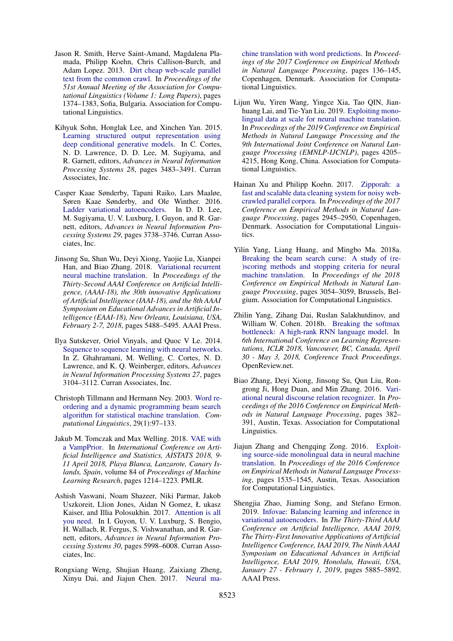- <span id="page-11-2"></span>Jason R. Smith, Herve Saint-Amand, Magdalena Plamada, Philipp Koehn, Chris Callison-Burch, and Adam Lopez. 2013. [Dirt cheap web-scale parallel](https://www.aclweb.org/anthology/P13-1135) [text from the common crawl.](https://www.aclweb.org/anthology/P13-1135) In *Proceedings of the 51st Annual Meeting of the Association for Computational Linguistics (Volume 1: Long Papers)*, pages 1374–1383, Sofia, Bulgaria. Association for Computational Linguistics.
- <span id="page-11-0"></span>Kihyuk Sohn, Honglak Lee, and Xinchen Yan. 2015. [Learning structured output representation using](http://papers.nips.cc/paper/5775-learning-structured-output-representation-using-deep-conditional-generative-models.pdf) [deep conditional generative models.](http://papers.nips.cc/paper/5775-learning-structured-output-representation-using-deep-conditional-generative-models.pdf) In C. Cortes, N. D. Lawrence, D. D. Lee, M. Sugiyama, and R. Garnett, editors, *Advances in Neural Information Processing Systems 28*, pages 3483–3491. Curran Associates, Inc.
- <span id="page-11-12"></span>Casper Kaae Sønderby, Tapani Raiko, Lars Maaløe, Søren Kaae Sønderby, and Ole Winther. 2016. [Ladder variational autoencoders.](http://papers.nips.cc/paper/6275-ladder-variational-autoencoders.pdf) In D. D. Lee, M. Sugiyama, U. V. Luxburg, I. Guyon, and R. Garnett, editors, *Advances in Neural Information Processing Systems 29*, pages 3738–3746. Curran Associates, Inc.
- <span id="page-11-14"></span>Jinsong Su, Shan Wu, Deyi Xiong, Yaojie Lu, Xianpei Han, and Biao Zhang. 2018. [Variational recurrent](https://www.aaai.org/ocs/index.php/AAAI/AAAI18/paper/view/16791) [neural machine translation.](https://www.aaai.org/ocs/index.php/AAAI/AAAI18/paper/view/16791) In *Proceedings of the Thirty-Second AAAI Conference on Artificial Intelligence, (AAAI-18), the 30th innovative Applications of Artificial Intelligence (IAAI-18), and the 8th AAAI Symposium on Educational Advances in Artificial Intelligence (EAAI-18), New Orleans, Louisiana, USA, February 2-7, 2018*, pages 5488–5495. AAAI Press.
- <span id="page-11-1"></span>Ilya Sutskever, Oriol Vinyals, and Quoc V Le. 2014. [Sequence to sequence learning with neural networks.](http://papers.nips.cc/paper/5346-sequence-to-sequence-learning-with-neural-networks.pdf) In Z. Ghahramani, M. Welling, C. Cortes, N. D. Lawrence, and K. Q. Weinberger, editors, *Advances in Neural Information Processing Systems 27*, pages 3104–3112. Curran Associates, Inc.
- <span id="page-11-5"></span>Christoph Tillmann and Hermann Ney. 2003. [Word re](https://doi.org/10.1162/089120103321337458)[ordering and a dynamic programming beam search](https://doi.org/10.1162/089120103321337458) [algorithm for statistical machine translation.](https://doi.org/10.1162/089120103321337458) *Computational Linguistics*, 29(1):97–133.
- <span id="page-11-15"></span>Jakub M. Tomczak and Max Welling. 2018. [VAE with](http://proceedings.mlr.press/v84/tomczak18a.html) [a VampPrior.](http://proceedings.mlr.press/v84/tomczak18a.html) In *International Conference on Artificial Intelligence and Statistics, AISTATS 2018, 9- 11 April 2018, Playa Blanca, Lanzarote, Canary Islands, Spain*, volume 84 of *Proceedings of Machine Learning Research*, pages 1214–1223. PMLR.
- <span id="page-11-3"></span>Ashish Vaswani, Noam Shazeer, Niki Parmar, Jakob Uszkoreit, Llion Jones, Aidan N Gomez, Ł ukasz Kaiser, and Illia Polosukhin. 2017. [Attention is all](http://papers.nips.cc/paper/7181-attention-is-all-you-need.pdf) [you need.](http://papers.nips.cc/paper/7181-attention-is-all-you-need.pdf) In I. Guyon, U. V. Luxburg, S. Bengio, H. Wallach, R. Fergus, S. Vishwanathan, and R. Garnett, editors, *Advances in Neural Information Processing Systems 30*, pages 5998–6008. Curran Associates, Inc.
- <span id="page-11-13"></span>Rongxiang Weng, Shujian Huang, Zaixiang Zheng, Xinyu Dai, and Jiajun Chen. 2017. [Neural ma-](https://doi.org/10.18653/v1/D17-1013)

[chine translation with word predictions.](https://doi.org/10.18653/v1/D17-1013) In *Proceedings of the 2017 Conference on Empirical Methods in Natural Language Processing*, pages 136–145, Copenhagen, Denmark. Association for Computational Linguistics.

- <span id="page-11-10"></span>Lijun Wu, Yiren Wang, Yingce Xia, Tao QIN, Jianhuang Lai, and Tie-Yan Liu. 2019. [Exploiting mono](https://doi.org/10.18653/v1/D19-1430)[lingual data at scale for neural machine translation.](https://doi.org/10.18653/v1/D19-1430) In *Proceedings of the 2019 Conference on Empirical Methods in Natural Language Processing and the 9th International Joint Conference on Natural Language Processing (EMNLP-IJCNLP)*, pages 4205– 4215, Hong Kong, China. Association for Computational Linguistics.
- <span id="page-11-11"></span>Hainan Xu and Philipp Koehn. 2017. [Zipporah: a](https://doi.org/10.18653/v1/D17-1319) [fast and scalable data cleaning system for noisy web](https://doi.org/10.18653/v1/D17-1319)[crawled parallel corpora.](https://doi.org/10.18653/v1/D17-1319) In *Proceedings of the 2017 Conference on Empirical Methods in Natural Language Processing*, pages 2945–2950, Copenhagen, Denmark. Association for Computational Linguistics.
- <span id="page-11-6"></span>Yilin Yang, Liang Huang, and Mingbo Ma. 2018a. [Breaking the beam search curse: A study of \(re-](https://doi.org/10.18653/v1/D18-1342) [\)scoring methods and stopping criteria for neural](https://doi.org/10.18653/v1/D18-1342) [machine translation.](https://doi.org/10.18653/v1/D18-1342) In *Proceedings of the 2018 Conference on Empirical Methods in Natural Language Processing*, pages 3054–3059, Brussels, Belgium. Association for Computational Linguistics.
- <span id="page-11-8"></span>Zhilin Yang, Zihang Dai, Ruslan Salakhutdinov, and William W. Cohen. 2018b. [Breaking the softmax](https://openreview.net/forum?id=HkwZSG-CZ) [bottleneck: A high-rank RNN language model.](https://openreview.net/forum?id=HkwZSG-CZ) In *6th International Conference on Learning Representations, ICLR 2018, Vancouver, BC, Canada, April 30 - May 3, 2018, Conference Track Proceedings*. OpenReview.net.
- <span id="page-11-4"></span>Biao Zhang, Deyi Xiong, Jinsong Su, Qun Liu, Rongrong Ji, Hong Duan, and Min Zhang. 2016. [Vari](https://doi.org/10.18653/v1/D16-1037)[ational neural discourse relation recognizer.](https://doi.org/10.18653/v1/D16-1037) In *Proceedings of the 2016 Conference on Empirical Methods in Natural Language Processing*, pages 382– 391, Austin, Texas. Association for Computational Linguistics.
- <span id="page-11-9"></span>Jiajun Zhang and Chengqing Zong. 2016. [Exploit](https://doi.org/10.18653/v1/D16-1160)[ing source-side monolingual data in neural machine](https://doi.org/10.18653/v1/D16-1160) [translation.](https://doi.org/10.18653/v1/D16-1160) In *Proceedings of the 2016 Conference on Empirical Methods in Natural Language Processing*, pages 1535–1545, Austin, Texas. Association for Computational Linguistics.
- <span id="page-11-7"></span>Shengjia Zhao, Jiaming Song, and Stefano Ermon. 2019. [Infovae: Balancing learning and inference in](https://doi.org/10.1609/aaai.v33i01.33015885) [variational autoencoders.](https://doi.org/10.1609/aaai.v33i01.33015885) In *The Thirty-Third AAAI Conference on Artificial Intelligence, AAAI 2019, The Thirty-First Innovative Applications of Artificial Intelligence Conference, IAAI 2019, The Ninth AAAI Symposium on Educational Advances in Artificial Intelligence, EAAI 2019, Honolulu, Hawaii, USA, January 27 - February 1, 2019*, pages 5885–5892. AAAI Press.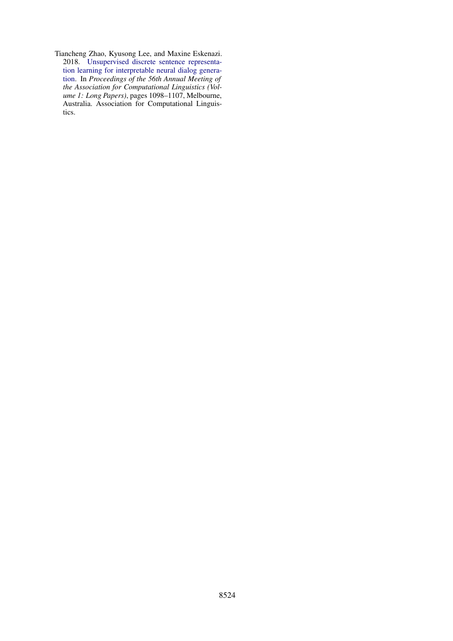<span id="page-12-0"></span>Tiancheng Zhao, Kyusong Lee, and Maxine Eskenazi. 2018. [Unsupervised discrete sentence representa](https://doi.org/10.18653/v1/P18-1101)[tion learning for interpretable neural dialog genera](https://doi.org/10.18653/v1/P18-1101)[tion.](https://doi.org/10.18653/v1/P18-1101) In *Proceedings of the 56th Annual Meeting of the Association for Computational Linguistics (Volume 1: Long Papers)*, pages 1098–1107, Melbourne, Australia. Association for Computational Linguistics.